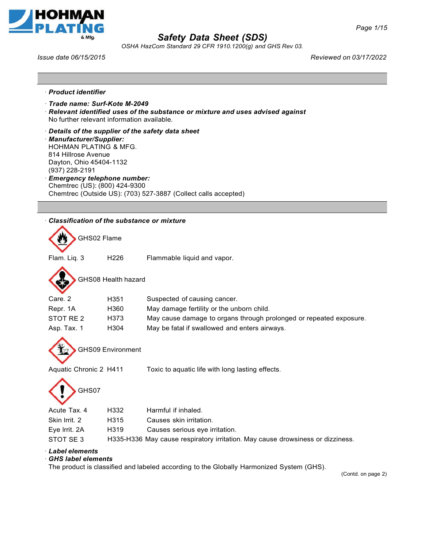



*OSHA HazCom Standard 29 CFR 1910.1200(g) and GHS Rev 03.*

*Issue date 06/15/2015 Reviewed on 03/17/2022*

- · *Product identifier*
- · *Trade name: Surf-Kote M-2049*
- · *Relevant identified uses of the substance or mixture and uses advised against* No further relevant information available.
- · *Details of the supplier of the safety data sheet*
- · *Manufacturer/Supplier:*

HOHMAN PLATING & MFG. 814 Hillrose Avenue Dayton, Ohio 45404-1132 (937) 228-2191

· *Emergency telephone number:* Chemtrec (US): (800) 424-9300 Chemtrec (Outside US): (703) 527-3887 (Collect calls accepted)

| $\cdot$ Classification of the substance or mixture |  |
|----------------------------------------------------|--|
|                                                    |  |

GHS02 Flame

Flam. Liq. 3 H226 Flammable liquid and vapor.



GHS08 Health hazard

| Care, 2     | H <sub>351</sub> | Suspected of causing cancer.                                       |
|-------------|------------------|--------------------------------------------------------------------|
| Repr. 1A    | H360             | May damage fertility or the unborn child.                          |
| STOT RE 2   | H373             | May cause damage to organs through prolonged or repeated exposure. |
| Asp. Tax. 1 | H304             | May be fatal if swallowed and enters airways.                      |



GHS09 Environment

Aquatic Chronic 2 H411 Toxic to aquatic life with long lasting effects.



| Acute Tax. 4  | H332 | Harmful if inhaled.                                                            |
|---------------|------|--------------------------------------------------------------------------------|
| Skin Irrit. 2 | H315 | Causes skin irritation.                                                        |
| Eye Irrit. 2A | H319 | Causes serious eye irritation.                                                 |
| STOT SE 3     |      | H335-H336 May cause respiratory irritation. May cause drowsiness or dizziness. |
|               |      |                                                                                |

### · *Label elements*

### · *GHS label elements*

The product is classified and labeled according to the Globally Harmonized System (GHS).

(Contd. on page 2)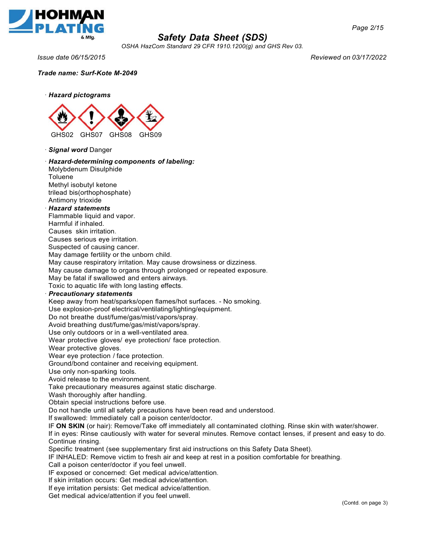

*OSHA HazCom Standard 29 CFR 1910.1200(g) and GHS Rev 03.*

*Issue date 06/15/2015 Reviewed on 03/17/2022*

*Page 2/15*

*Trade name: Surf-Kote M-2049*



· *Signal word* Danger

### · *Hazard-determining components of labeling:* Molybdenum Disulphide

Toluene Methyl isobutyl ketone trilead bis(orthophosphate) Antimony trioxide

#### · *Hazard statements*

Flammable liquid and vapor.

Harmful if inhaled.

Causes skin irritation.

Causes serious eye irritation. Suspected of causing cancer.

May damage fertility or the unborn child.

May cause respiratory irritation. May cause drowsiness or dizziness.

May cause damage to organs through prolonged or repeated exposure.

May be fatal if swallowed and enters airways.

Toxic to aquatic life with long lasting effects.

#### · *Precautionary statements*

Keep away from heat/sparks/open flames/hot surfaces. - No smoking.

Use explosion-proof electrical/ventilating/lighting/equipment.

Do not breathe dust/fume/gas/mist/vapors/spray.

Avoid breathing dust/fume/gas/mist/vapors/spray.

Use only outdoors or in a well-ventilated area.

Wear protective gloves/ eye protection/ face protection.

Wear protective gloves.

Wear eye protection / face protection.

Ground/bond container and receiving equipment.

Use only non-sparking tools.

Avoid release to the environment.

Take precautionary measures against static discharge.

Wash thoroughly after handling.

Obtain special instructions before use.

Do not handle until all safety precautions have been read and understood.

If swallowed: Immediately call a poison center/doctor.

IF **ON SKIN** (or hair): Remove/Take off immediately all contaminated clothing. Rinse skin with water/shower.

If in eyes: Rinse cautiously with water for several minutes. Remove contact lenses, if present and easy to do. Continue rinsing.

Specific treatment (see supplementary first aid instructions on this Safety Data Sheet).

IF INHALED: Remove victim to fresh air and keep at rest in a position comfortable for breathing.

Call a poison center/doctor if you feel unwell.

IF exposed or concerned: Get medical advice/attention.

If skin irritation occurs: Get medical advice/attention.

If eye irritation persists: Get medical advice/attention.

Get medical advice/attention if you feel unwell.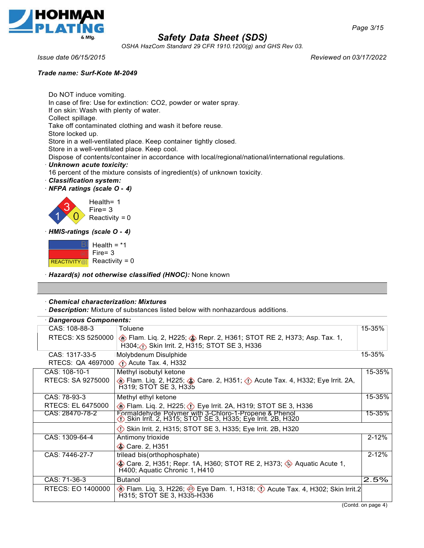

*OSHA HazCom Standard 29 CFR 1910.1200(g) and GHS Rev 03.*

### *Trade name: Surf-Kote M-2049*

*Issue date 06/15/2015 Reviewed on 03/17/2022*

Do NOT induce vomiting. In case of fire: Use for extinction: CO2, powder or water spray. If on skin: Wash with plenty of water. Collect spillage. Take off contaminated clothing and wash it before reuse. Store locked up. Store in a well-ventilated place. Keep container tightly closed. Store in a well-ventilated place. Keep cool. Dispose of contents/container in accordance with local/regional/national/international regulations. · *Unknown acute toxicity:* 16 percent of the mixture consists of ingredient(s) of unknown toxicity. · *Classification system:*

· *NFPA ratings (scale O* **-** *4)*



· *HMIS-ratings (scale O* **-** *4)*

Health =  $*1$ Fire= 3 Reactivity  $= 0$ REACTIVITY@]

· *Hazard(s) not otherwise classified (HNOC):* None known

### · *Chemical characterization: Mixtures*

· *Description:* Mixture of substances listed below with nonhazardous additions.

| <b>Dangerous Components:</b> |                                                                                                                        |           |
|------------------------------|------------------------------------------------------------------------------------------------------------------------|-----------|
| CAS: 108-88-3                | Toluene                                                                                                                | 15-35%    |
| RTECS: XS 5250000            | Flam. Liq. 2, H225; Bepr. 2, H361; STOT RE 2, H373; Asp. Tax. 1,<br>H304; Skin Irrit. 2, H315; STOT SE 3, H336         |           |
| CAS: 1317-33-5               | Molybdenum Disulphide                                                                                                  | 15-35%    |
|                              | RTECS: QA 4697000 3 Acute Tax. 4, H332                                                                                 |           |
| CAS: 108-10-1                | Methyl isobutyl ketone                                                                                                 | 15-35%    |
| RTECS: SA 9275000            | ⊙ Flam. Liq. 2, H225; ⓒ Care. 2, H351; ① Acute Tax. 4, H332; Eye Irrit. 2A,<br>H319; STOT SE 3, H335                   |           |
| CAS: 78-93-3                 | Methyl ethyl ketone                                                                                                    | 15-35%    |
| RTECS: EL 6475000            | <b>Example 2, H225; 1)</b> Eye Irrit. 2A, H319; STOT SE 3, H336                                                        |           |
| CAS: 28470-78-2              | Formaldehyde Polymer with 3-Chloro-1-Propene & Phenol<br>(1) Skin Irrit. 2, H315; STOT SE 3, H335; Eye Irrit. 2B, H320 | 15-35%    |
|                              | Skin Irrit. 2, H315; STOT SE 3, H335; Eye Irrit. 2B, H320                                                              |           |
| CAS: 1309-64-4               | Antimony trioxide                                                                                                      | $2 - 12%$ |
|                              | Care. 2, H351                                                                                                          |           |
| CAS: 7446-27-7               | trilead bis(orthophosphate)                                                                                            | $2 - 12%$ |
|                              | Care. 2, H351; Repr. 1A, H360; STOT RE 2, H373; 4 Aquatic Acute 1,<br>H400; Aquatic Chronic 1, H410                    |           |
| CAS: 71-36-3                 | <b>Butanol</b>                                                                                                         | 2.5%      |
| RTECS: EO 1400000            | H315; STOT SE 3, H335-H336                                                                                             |           |

(Contd. on page 4)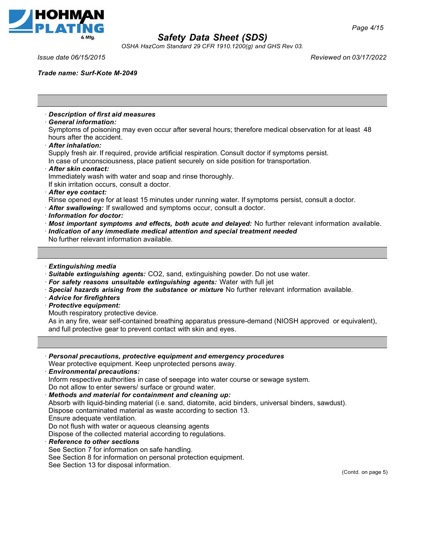

*OSHA HazCom Standard 29 CFR 1910.1200(g) and GHS Rev 03.*

*Issue date 06/15/2015 Reviewed on 03/17/2022*

*Page 4/15*

*Trade name: Surf-Kote M-2049*

· *Description of first aid measures* · *General information:* Symptoms of poisoning may even occur after several hours; therefore medical observation for at least 48 hours after the accident. · *After inhalation:* Supply fresh air. If required, provide artificial respiration. Consult doctor if symptoms persist. In case of unconsciousness, place patient securely on side position for transportation. · *After skin contact:* Immediately wash with water and soap and rinse thoroughly. If skin irritation occurs, consult a doctor. · *After eye contact:* Rinse opened eye for at least 15 minutes under running water. If symptoms persist, consult a doctor. · *After swallowing:* If swallowed and symptoms occur, consult a doctor. · *Information for doctor:* · *Most important symptoms and effects, both acute and delayed:* No further relevant information available. · *Indication of any immediate medical attention and special treatment needed* No further relevant information available. · *Extinguishing media* · *Suitable extinguishing agents:* CO2, sand, extinguishing powder. Do not use water. · *For safety reasons unsuitable extinguishing agents:* Water with full jet · *Special hazards arising from the substance or mixture* No further relevant information available. · *Advice for firefighters* · *Protective equipment:* Mouth respiratory protective device. As in any fire, wear self-contained breathing apparatus pressure-demand (NIOSH approved or equivalent), and full protective gear to prevent contact with skin and eyes. · *Personal precautions, protective equipment and emergency procedures* Wear protective equipment. Keep unprotected persons away. · *Environmental precautions:* Inform respective authorities in case of seepage into water course or sewage system. Do not allow to enter sewers/ surface or ground water. · *Methods and material for containment and cleaning up:* Absorb with liquid-binding material (i.e. sand, diatomite, acid binders, universal binders, sawdust). Dispose contaminated material as waste according to section 13. Ensure adequate ventilation. Do not flush with water or aqueous cleansing agents Dispose of the collected material according to regulations. · *Reference to other sections* See Section 7 for information on safe handling. See Section 8 for information on personal protection equipment. See Section 13 for disposal information. (Contd. on page 5)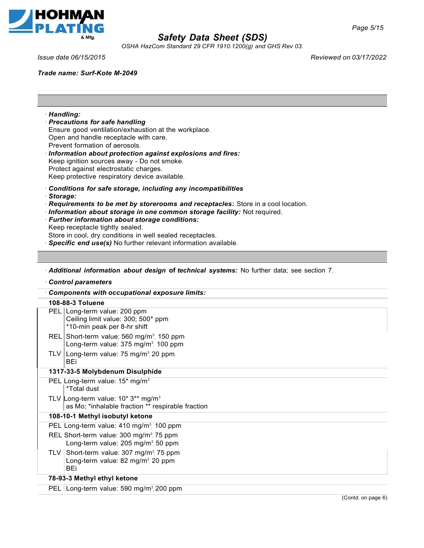

*OSHA HazCom Standard 29 CFR 1910.1200(g) and GHS Rev 03.*

· *Handling:*

· *Storage:*

#### *Trade name: Surf-Kote M-2049*

· *Precautions for safe handling*

Prevent formation of aerosols.

Open and handle receptacle with care.

Keep ignition sources away - Do not smoke. Protect against electrostatic charges. Keep protective respiratory device available.

· *Further information about storage conditions:*

Ensure good ventilation/exhaustion at the workplace.

· *Information about protection against explosions and fires:*

· *Conditions for safe storage, including any incompatibilities*

· *Requirements to be met by storerooms and receptacles:* Store in a cool location.

· *Information about storage in one common storage facility:* Not required.

*Issue date 06/15/2015 Reviewed on 03/17/2022*

| Keep receptacle tightly sealed.<br>Store in cool, dry conditions in well sealed receptacles.                            |  |  |
|-------------------------------------------------------------------------------------------------------------------------|--|--|
| Specific end use(s) No further relevant information available.                                                          |  |  |
|                                                                                                                         |  |  |
| Additional information about design of technical systems: No further data; see section 7.                               |  |  |
| Control parameters                                                                                                      |  |  |
| Components with occupational exposure limits:                                                                           |  |  |
| 108-88-3 Toluene                                                                                                        |  |  |
| PEL Long-term value: 200 ppm<br>Ceiling limit value: 300; 500* ppm<br>*10-min peak per 8-hr shift                       |  |  |
| REL Short-term value: 560 mg/m <sup>3</sup> , 150 ppm<br>Long-term value: 375 mg/m <sup>3</sup> , 100 ppm               |  |  |
| TLV   Long-term value: 75 mg/m <sup>3</sup> , 20 ppm<br><b>BEi</b>                                                      |  |  |
| 1317-33-5 Molybdenum Disulphide                                                                                         |  |  |
| PEL Long-term value: 15* mg/m <sup>3</sup><br>*Total dust                                                               |  |  |
| TLV Long-term value: $10^*3^{**}$ mg/m <sup>3</sup><br>as Mo; *inhalable fraction ** respirable fraction                |  |  |
| 108-10-1 Methyl isobutyl ketone                                                                                         |  |  |
| PEL Long-term value: 410 mg/m <sup>3</sup> , 100 ppm                                                                    |  |  |
| REL Short-term value: 300 mg/m <sup>3</sup> , 75 ppm<br>Long-term value: 205 mg/m <sup>3</sup> , 50 ppm                 |  |  |
| Short-term value: 307 mg/m <sup>3</sup> , 75 ppm<br><b>TLV</b><br>Long-term value: 82 mg/m <sup>3</sup> , 20 ppm<br>BEi |  |  |
| 78-93-3 Methyl ethyl ketone                                                                                             |  |  |
| PEL   Long-term value: 590 mg/m <sup>3</sup> , 200 ppm                                                                  |  |  |
| (Contd. on page 6)                                                                                                      |  |  |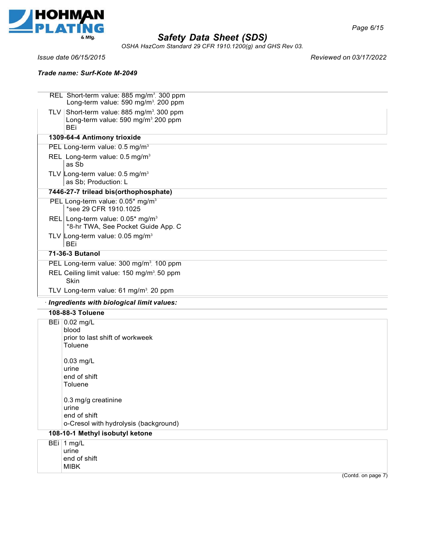

*OSHA HazCom Standard 29 CFR 1910.1200(g) and GHS Rev 03.*

### *Trade name: Surf-Kote M-2049*

*Issue date 06/15/2015 Reviewed on 03/17/2022*

| REL Short-term value: 885 mg/m <sup>3</sup> , 300 ppm<br>Long-term value: 590 mg/m <sup>3</sup> , 200 ppm                 |
|---------------------------------------------------------------------------------------------------------------------------|
| TLV   Short-term value: 885 mg/m <sup>3</sup> , 300 ppm<br>Long-term value: 590 mg/m <sup>3</sup> , 200 ppm<br><b>BEi</b> |
| 1309-64-4 Antimony trioxide                                                                                               |
| PEL Long-term value: 0.5 mg/m <sup>3</sup>                                                                                |
| REL Long-term value: 0.5 mg/m <sup>3</sup><br>as Sb                                                                       |
| TLV Long-term value: $0.5 \text{ mg/m}^3$<br>as Sb; Production: L                                                         |
| 7446-27-7 trilead bis(orthophosphate)                                                                                     |
| PEL Long-term value: 0.05* mg/m <sup>3</sup><br>*see 29 CFR 1910.1025                                                     |
| REL Long-term value: 0.05* mg/m <sup>3</sup><br>*8-hr TWA, See Pocket Guide App. C                                        |
| TLV Long-term value: $0.05 \text{ mg/m}^3$<br>BEi                                                                         |
| 71-36-3 Butanol                                                                                                           |
| PEL Long-term value: 300 mg/m <sup>3</sup> , 100 ppm                                                                      |
| REL Ceiling limit value: 150 mg/m <sup>3</sup> , 50 ppm<br>Skin                                                           |
| TLV Long-term value: 61 mg/m <sup>3</sup> , 20 ppm                                                                        |
| · Ingredients with biological limit values:                                                                               |
| 108-88-3 Toluene                                                                                                          |
| BEi 0.02 mg/L<br>blood<br>prior to last shift of workweek<br>Toluene                                                      |
| $0.03$ mg/L<br>urine<br>end of shift<br>Toluene                                                                           |
| 0.3 mg/g creatinine<br>urine<br>end of shift<br>o-Cresol with hydrolysis (background)                                     |
| 108-10-1 Methyl isobutyl ketone                                                                                           |
| BEi 1 mg/L<br>urine<br>end of shift<br><b>MIBK</b>                                                                        |

(Contd. on page 7)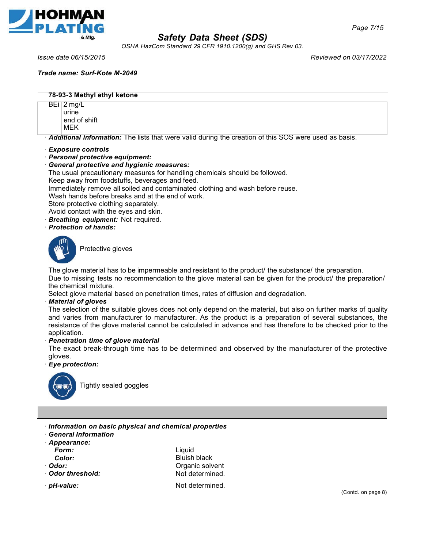

*OSHA HazCom Standard 29 CFR 1910.1200(g) and GHS Rev 03.*

*Issue date 06/15/2015 Reviewed on 03/17/2022*

*Trade name: Surf-Kote M-2049*

#### **78-93-3 Methyl ethyl ketone**

BEi | 2 mg/L urine end of shift MEK

· *Additional information:* The lists that were valid during the creation of this SOS were used as basis.

- · *Exposure controls*
- · *Personal protective equipment:*
- · *General protective and hygienic measures:*

The usual precautionary measures for handling chemicals should be followed.

Keep away from foodstuffs, beverages and feed.

Immediately remove all soiled and contaminated clothing and wash before reuse.

Wash hands before breaks and at the end of work.

Store protective clothing separately.

Avoid contact with the eyes and skin.

- · *Breathing equipment:* Not required.
- · *Protection of hands:*



Protective gloves

The glove material has to be impermeable and resistant to the product/ the substance/ the preparation.

Due to missing tests no recommendation to the glove material can be given for the product/ the preparation/ the chemical mixture.

Select glove material based on penetration times, rates of diffusion and degradation.

#### · *Material of gloves*

The selection of the suitable gloves does not only depend on the material, but also on further marks of quality and varies from manufacturer to manufacturer. As the product is a preparation of several substances, the resistance of the glove material cannot be calculated in advance and has therefore to be checked prior to the application.

### · *Penetration time of glove material*

The exact break-through time has to be determined and observed by the manufacturer of the protective gloves.

#### · *Eye protection:*



Tightly sealed goggles

- · *Information on basic physical and chemical properties*
- · *General Information*
- · *Appearance:*

*Form:*

*Color:*

- · *Odor:*
- · *Odor threshold:*

**Liquid** Bluish black Organic solvent Not determined.

· **pH-value:** Not determined.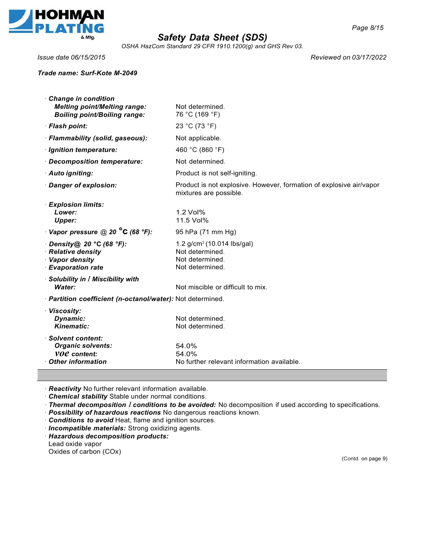

*OSHA HazCom Standard 29 CFR 1910.1200(g) and GHS Rev 03.*

#### *Trade name: Surf-Kote M-2049*

*Issue date 06/15/2015 Reviewed on 03/17/2022*

| · Change in condition<br><b>Melting point/Melting range:</b><br><b>Boiling point/Boiling range:</b> | Not determined.<br>76 °C (169 °F)                                                                 |
|-----------------------------------------------------------------------------------------------------|---------------------------------------------------------------------------------------------------|
| · Flash point:                                                                                      | 23 °C (73 °F)                                                                                     |
| · Flammability (solid, gaseous):                                                                    | Not applicable.                                                                                   |
| · Ignition temperature:                                                                             | 460 °C (860 °F)                                                                                   |
| · Decomposition temperature:                                                                        | Not determined.                                                                                   |
| · Auto igniting:                                                                                    | Product is not self-igniting.                                                                     |
| · Danger of explosion:                                                                              | Product is not explosive. However, formation of explosive air/vapor<br>mixtures are possible.     |
| · Explosion limits:<br>Lower:<br>Upper:                                                             | $1.2$ Vol <sup><math>\%</math></sup><br>11.5 Vol%                                                 |
| $\cdot$ Vapor pressure @ 20 $^{\circ}$ C (68 $^{\circ}$ F):                                         | 95 hPa (71 mm Hg)                                                                                 |
| $\cdot$ Density@ 20 °C (68 °F):<br>· Relative density<br>· Vapor density<br>· Evaporation rate      | $1.2$ g/cm <sup>3</sup> (10.014 lbs/gal)<br>Not determined.<br>Not determined.<br>Not determined. |
| $\cdot$ Solubility in $I$ Miscibility with<br>Water:                                                | Not miscible or difficult to mix.                                                                 |
| · Partition coefficient (n-octanol/water): Not determined.                                          |                                                                                                   |
| · Viscosity:<br>Dynamic:<br>Kinematic:                                                              | Not determined.<br>Not determined.                                                                |
| · Solvent content:<br><b>Organic solvents:</b><br><b>VOC</b> content:<br><b>Other information</b>   | 54.0%<br>54.0%<br>No further relevant information available.                                      |

· *Reactivity* No further relevant information available.

· *Chemical stability* Stable under normal conditions.

· *Thermal decomposition I conditions to be avoided:* No decomposition if used according to specifications.

· *Possibility of hazardous reactions* No dangerous reactions known.

· *Conditions to avoid* Heat, flame and ignition sources.

· *Incompatible materials:* Strong oxidizing agents.

· *Hazardous decomposition products:*

Lead oxide vapor Oxides of carbon (COx)

(Contd. on page 9)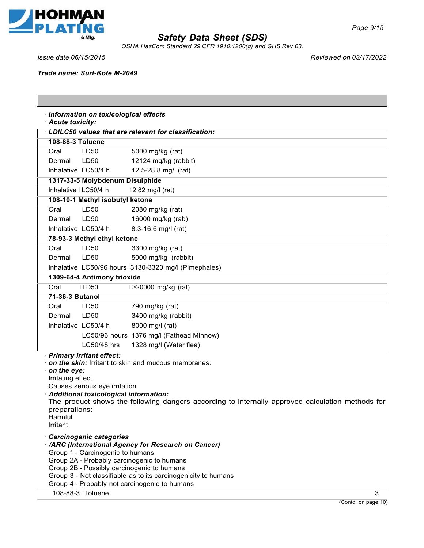

*OSHA HazCom Standard 29 CFR 1910.1200(g) and GHS Rev 03.*

*Issue date 06/15/2015 Reviewed on 03/17/2022*

*Trade name: Surf-Kote M-2049*

| · Information on toxicological effects<br>· Acute toxicity:                                                                                                                                                                                                                                                                                                                                                                                          |                                 |                                                        |  |  |
|------------------------------------------------------------------------------------------------------------------------------------------------------------------------------------------------------------------------------------------------------------------------------------------------------------------------------------------------------------------------------------------------------------------------------------------------------|---------------------------------|--------------------------------------------------------|--|--|
|                                                                                                                                                                                                                                                                                                                                                                                                                                                      |                                 | · LDILC50 values that are relevant for classification: |  |  |
| 108-88-3 Toluene                                                                                                                                                                                                                                                                                                                                                                                                                                     |                                 |                                                        |  |  |
| Oral                                                                                                                                                                                                                                                                                                                                                                                                                                                 | <b>LD50</b>                     | 5000 mg/kg (rat)                                       |  |  |
| Dermal                                                                                                                                                                                                                                                                                                                                                                                                                                               | LD50                            | 12124 mg/kg (rabbit)                                   |  |  |
|                                                                                                                                                                                                                                                                                                                                                                                                                                                      | Inhalative LC50/4 h             | 12.5-28.8 mg/l (rat)                                   |  |  |
|                                                                                                                                                                                                                                                                                                                                                                                                                                                      | 1317-33-5 Molybdenum Disulphide |                                                        |  |  |
| Inhalative   LC50/4 h                                                                                                                                                                                                                                                                                                                                                                                                                                |                                 | 12.82 mg/l (rat)                                       |  |  |
|                                                                                                                                                                                                                                                                                                                                                                                                                                                      | 108-10-1 Methyl isobutyl ketone |                                                        |  |  |
| Oral                                                                                                                                                                                                                                                                                                                                                                                                                                                 | LD50                            | 2080 mg/kg (rat)                                       |  |  |
| Dermal                                                                                                                                                                                                                                                                                                                                                                                                                                               | LD50                            | 16000 mg/kg (rab)                                      |  |  |
|                                                                                                                                                                                                                                                                                                                                                                                                                                                      | Inhalative LC50/4 h             | 8.3-16.6 mg/l (rat)                                    |  |  |
|                                                                                                                                                                                                                                                                                                                                                                                                                                                      | 78-93-3 Methyl ethyl ketone     |                                                        |  |  |
| Oral                                                                                                                                                                                                                                                                                                                                                                                                                                                 | LD50                            | 3300 mg/kg (rat)                                       |  |  |
| Dermal                                                                                                                                                                                                                                                                                                                                                                                                                                               | LD50                            | 5000 mg/kg (rabbit)                                    |  |  |
|                                                                                                                                                                                                                                                                                                                                                                                                                                                      |                                 | Inhalative LC50/96 hours 3130-3320 mg/l (Pimephales)   |  |  |
|                                                                                                                                                                                                                                                                                                                                                                                                                                                      | 1309-64-4 Antimony trioxide     |                                                        |  |  |
| Oral                                                                                                                                                                                                                                                                                                                                                                                                                                                 | <b>LD50</b>                     | >20000 mg/kg (rat)                                     |  |  |
| 71-36-3 Butanol                                                                                                                                                                                                                                                                                                                                                                                                                                      |                                 |                                                        |  |  |
| Oral                                                                                                                                                                                                                                                                                                                                                                                                                                                 | LD50                            | 790 mg/kg (rat)                                        |  |  |
| Dermal                                                                                                                                                                                                                                                                                                                                                                                                                                               | LD50                            | 3400 mg/kg (rabbit)                                    |  |  |
| Inhalative LC50/4 h                                                                                                                                                                                                                                                                                                                                                                                                                                  |                                 | 8000 mg/l (rat)                                        |  |  |
|                                                                                                                                                                                                                                                                                                                                                                                                                                                      |                                 | LC50/96 hours 1376 mg/l (Fathead Minnow)               |  |  |
|                                                                                                                                                                                                                                                                                                                                                                                                                                                      | LC50/48 hrs                     | 1328 mg/l (Water flea)                                 |  |  |
| · Primary irritant effect:<br>$\cdot$ on the skin: Irritant to skin and mucous membranes.<br>$\cdot$ on the eye:<br>Irritating effect.<br>Causes serious eye irritation.<br>· Additional toxicological information:<br>The product shows the following dangers according to internally approved calculation methods for<br>preparations:<br>Harmful<br>Irritant<br>· Carcinogenic categories<br>· /ARC (International Agency for Research on Cancer) |                                 |                                                        |  |  |
| Group 1 - Carcinogenic to humans<br>Group 2A - Probably carcinogenic to humans<br>Group 2B - Possibly carcinogenic to humans<br>Group 3 - Not classifiable as to its carcinogenicity to humans<br>Group 4 - Probably not carcinogenic to humans<br>108-88-3 Toluene<br>3                                                                                                                                                                             |                                 |                                                        |  |  |
|                                                                                                                                                                                                                                                                                                                                                                                                                                                      |                                 |                                                        |  |  |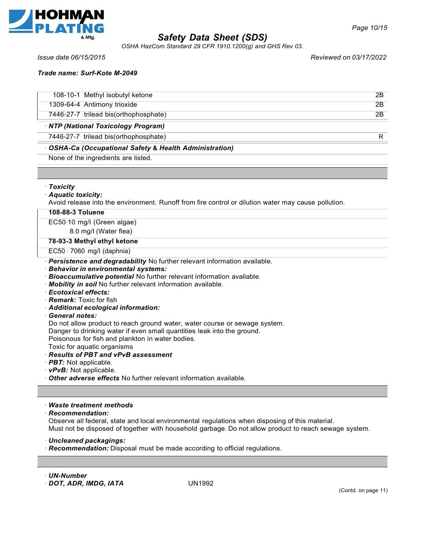

*OSHA HazCom Standard 29 CFR 1910.1200(g) and GHS Rev 03.*

*Page 10/15*

*Issue date 06/15/2015 Reviewed on 03/17/2022*

*Trade name: Surf-Kote M-2049*

| • OSHA-Ca (Occupational Safety & Health Administration) |     |
|---------------------------------------------------------|-----|
| 7446-27-7 trilead bis(orthophosphate)                   | R   |
| · NTP (National Toxicology Program)                     |     |
| 7446-27-7 trilead bis(orthophosphate)                   | 2B  |
| 1309-64-4 Antimony trioxide                             | 2B  |
| 108-10-1 Methyl isobutyl ketone                         | 2B. |
|                                                         |     |

None of the ingredients are listed.

· *Toxicity*

### · *Aquatic toxicity:*

Avoid release into the environment. Runoff from fire control or dilution water may cause pollution.

#### **108-88-3 Toluene**

EC50I10 mg/I (Green algae)

8.0 mg/I (Water flea)

#### **78-93-3 Methyl ethyl ketone**

#### EC50 I 7060 mg/I (daphnia)

- · *Persistence and degradability* No further relevant information available.
- · *Behavior in environmental systems:*
- · *Bioaccumulative potential* No further relevant information available.
- · *Mobility in soil* No further relevant information available.
- · *Ecotoxical effects:*
- · *Remark:* Toxic for fish
- · *Additional ecological information:*
- · *General notes:*

Do not allow product to reach ground water, water course or sewage system.

Danger to drinking water if even small quantities leak into the ground.

Poisonous for fish and plankton in water bodies.

Toxic for aquatic organisms

- · *Results of PBT and vPvB assessment*
- · *PBT:* Not applicable.

· *vPvB:* Not applicable.

· *Other adverse effects* No further relevant information available.

### · *Waste treatment methods*

· *Recommendation:*

Observe all federal, state and local environmental regulations when disposing of this material. Must not be disposed of together with household garbage. Do not allow product to reach sewage system.

· *Uncleaned packagings:*

· *Recommendation:* Disposal must be made according to official regulations.

· *UN-Number*

· *DOT, ADR, IMDG, IATA* UN1992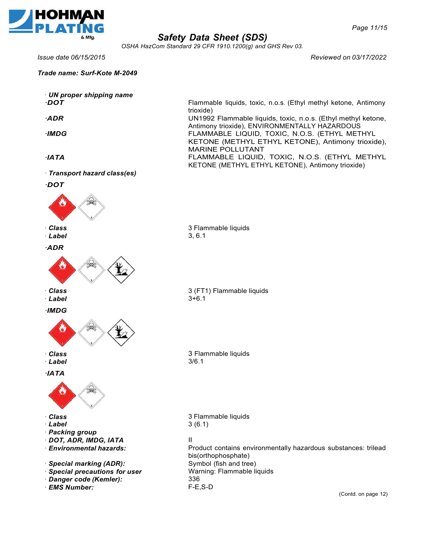

*OSHA HazCom Standard 29 CFR 1910.1200(g) and GHS Rev 03.*

*Issue date 06/15/2015 Reviewed on 03/17/2022*

*Trade name: Surf-Kote M-2049*

· *UN proper shipping name ·DOT*

*·ADR*

*·IMDG*

*·IATA*

· *Transport hazard class(es)*

*·DOT*



· *Label*

*·ADR*



· *Class*

· *Label*

*·IMDG*



· *Class*

· *Label*

# *·IATA*



- · *Class*
- · *Label*
- · *Packing group*
- · *DOT, ADR, IMDG, IATA*
- · *Environmental hazards:*
- · *Special marking (ADR):*
- · *Special precautions for user*
- · *Danger code (Kemler):*
- · *EMS Number:*

Flammable liquids, toxic, n.o.s. (Ethyl methyl ketone, Antimony trioxide) UN1992 Flammable liquids, toxic, n.o.s. (Ethyl methyl ketone,

Antimony trioxide), ENVIRONMENTALLY HAZARDOUS FLAMMABLE LIQUID, TOXIC, N.O.S. (ETHYL METHYL KETONE (METHYL ETHYL KETONE), Antimony trioxide), MARINE POLLUTANT FLAMMABLE LIQUID, TOXIC, N.O.S. (ETHYL METHYL KETONE (METHYL ETHYL KETONE), Antimony trioxide)

3 Flammable liquids 3, 6.1

3 (FT1) Flammable liquids 3+6.1

3 Flammable liquids 3/6.1

3 Flammable liquids 3 (6.1)

### II

Product contains environmentally hazardous substances: trilead bis(orthophosphate) Symbol (fish and tree) Warning: Flammable liquids 336 F-E,S-D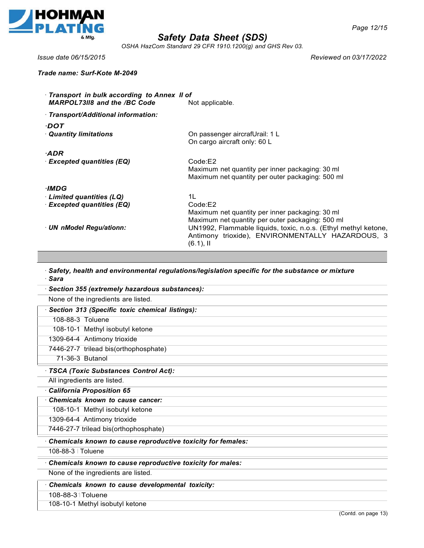

*OSHA HazCom Standard 29 CFR 1910.1200(g) and GHS Rev 03.*

*Trade name: Surf-Kote M-2049*

*Issue date 06/15/2015 Reviewed on 03/17/2022*

| · Transport in bulk according to Annex II of<br><b>MARPOL7318 and the /BC Code</b> | Not applicable.                                                                                                                    |
|------------------------------------------------------------------------------------|------------------------------------------------------------------------------------------------------------------------------------|
| · Transport/Additional information:                                                |                                                                                                                                    |
| ·DOT                                                                               |                                                                                                                                    |
| <b>Quantity limitations</b>                                                        | On passenger aircrafUrail: 1 L<br>On cargo aircraft only: 60 L                                                                     |
| ADR-                                                                               |                                                                                                                                    |
| $\cdot$ Excepted quantities (EQ)                                                   | Code:E2<br>Maximum net quantity per inner packaging: 30 ml<br>Maximum net quantity per outer packaging: 500 ml                     |
| ·IMDG                                                                              |                                                                                                                                    |
| $\cdot$ Limited quantities (LQ)                                                    | 1L                                                                                                                                 |
| · Excepted quantities (EQ)                                                         | Code:E2<br>Maximum net quantity per inner packaging: 30 ml<br>Maximum net quantity per outer packaging: 500 ml                     |
| · UN nModel Regu/ationn:                                                           | UN1992, Flammable liquids, toxic, n.o.s. (Ethyl methyl ketone,<br>Antimony trioxide), ENVIRONMENTALLY HAZARDOUS, 3<br>$(6.1)$ , II |

· *Safety, health and environmental regulations/legislation specific for the substance or mixture* · *Sara*

| Section 355 (extremely hazardous substances):               |  |
|-------------------------------------------------------------|--|
| None of the ingredients are listed.                         |  |
| Section 313 (Specific toxic chemical listings):             |  |
| 108-88-3 Toluene                                            |  |
| 108-10-1 Methyl isobutyl ketone                             |  |
| 1309-64-4 Antimony trioxide                                 |  |
| 7446-27-7 trilead bis(orthophosphate)                       |  |
| 71-36-3 Butanol                                             |  |
| · TSCA (Toxic Substances Control Act):                      |  |
| All ingredients are listed.                                 |  |
| California Proposition 65                                   |  |
| Chemicals known to cause cancer:                            |  |
| 108-10-1 Methyl isobutyl ketone                             |  |
| 1309-64-4 Antimony trioxide                                 |  |
| 7446-27-7 trilead bis(orthophosphate)                       |  |
| Chemicals known to cause reproductive toxicity for females: |  |
| 108-88-3   Toluene                                          |  |
| Chemicals known to cause reproductive toxicity for males:   |  |
| None of the ingredients are listed.                         |  |
| Chemicals known to cause developmental toxicity:            |  |
| 108-88-31 Toluene                                           |  |
| 108-10-1 Methyl isobutyl ketone                             |  |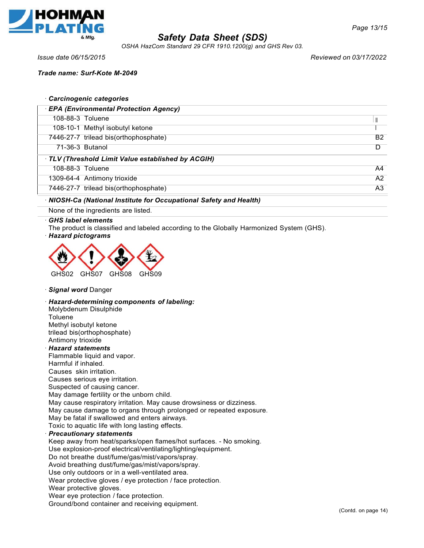

*OSHA HazCom Standard 29 CFR 1910.1200(g) and GHS Rev 03.*

*Trade name: Surf-Kote M-2049*

*Issue date 06/15/2015 Reviewed on 03/17/2022*

*Page 13/15*

|                            | · Carcinogenic categories                                                                |    |
|----------------------------|------------------------------------------------------------------------------------------|----|
|                            | · EPA (Environmental Protection Agency)                                                  |    |
| 108-88-3 Toluene           |                                                                                          |    |
|                            | 108-10-1 Methyl isobutyl ketone                                                          |    |
|                            | 7446-27-7 trilead bis(orthophosphate)                                                    | B2 |
| 71-36-3 Butanol            |                                                                                          | D  |
|                            | TLV (Threshold Limit Value established by ACGIH)                                         |    |
| 108-88-3 Toluene           |                                                                                          | A4 |
|                            | 1309-64-4 Antimony trioxide                                                              | A2 |
|                            | 7446-27-7 trilead bis(orthophosphate)                                                    | A3 |
|                            | · NIOSH-Ca (National Institute for Occupational Safety and Health)                       |    |
|                            | None of the ingredients are listed.                                                      |    |
| $\cdot$ GHS label elements | The product is classified and labeled according to the Globally Harmonized System (GHS). |    |

#### · *Hazard pictograms*



### · *Signal word* Danger

· *Hazard-determining components of labeling:*

Molybdenum Disulphide **Toluene** Methyl isobutyl ketone trilead bis(orthophosphate) Antimony trioxide

#### · *Hazard statements*

Flammable liquid and vapor. Harmful if inhaled. Causes skin irritation. Causes serious eye irritation. Suspected of causing cancer. May damage fertility or the unborn child. May cause respiratory irritation. May cause drowsiness or dizziness. May cause damage to organs through prolonged or repeated exposure. May be fatal if swallowed and enters airways. Toxic to aquatic life with long lasting effects. · *Precautionary statements* Keep away from heat/sparks/open flames/hot surfaces. - No smoking. Use explosion-proof electrical/ventilating/lighting/equipment. Do not breathe dust/fume/gas/mist/vapors/spray. Avoid breathing dust/fume/gas/mist/vapors/spray. Use only outdoors or in a well-ventilated area. Wear protective gloves / eye protection / face protection. Wear protective gloves. Wear eye protection / face protection. Ground/bond container and receiving equipment.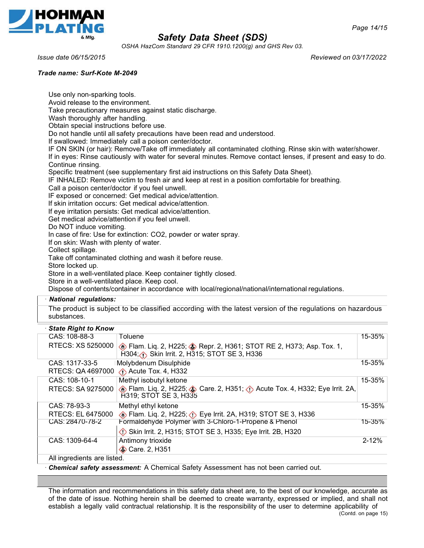

*OSHA HazCom Standard 29 CFR 1910.1200(g) and GHS Rev 03.*

*Issue date 06/15/2015 Reviewed on 03/17/2022*

#### *Trade name: Surf-Kote M-2049*

Use only non-sparking tools. Avoid release to the environment. Take precautionary measures against static discharge. Wash thoroughly after handling. Obtain special instructions before use. Do not handle until all safety precautions have been read and understood. If swallowed: Immediately call a poison center/doctor. IF ON SKIN (or hair): Remove/Take off immediately all contaminated clothing. Rinse skin with water/shower. If in eyes: Rinse cautiously with water for several minutes. Remove contact lenses, if present and easy to do. Continue rinsing. Specific treatment (see supplementary first aid instructions on this Safety Data Sheet). IF INHALED: Remove victim to fresh air and keep at rest in a position comfortable for breathing. Call a poison center/doctor if you feel unwell. IF exposed or concerned: Get medical advice/attention. If skin irritation occurs: Get medical advice/attention. If eye irritation persists: Get medical advice/attention. Get medical advice/attention if you feel unwell. Do NOT induce vomiting. In case of fire: Use for extinction: CO2, powder or water spray. If on skin: Wash with plenty of water. Collect spillage. Take off contaminated clothing and wash it before reuse. Store locked up. Store in a well-ventilated place. Keep container tightly closed. Store in a well-ventilated place. Keep cool. Dispose of contents/container in accordance with local/regional/national/international regulations. · *National regulations:* The product is subject to be classified according with the latest version of the regulations on hazardous substances. · *State Right to Know* CAS: 108-88-3 Toluene 15-35% RTECS: XS 5250000 **6** Flam. Liq. 2, H225; **8** Repr. 2, H361; STOT RE 2, H373; Asp. Tox. 1, H304; Skin Irrit. 2, H315; STOT SE 3, H336 CAS: 1317-33-5 I Molybdenum Disulphide RTECS: QA 4697000 **Acute Tox. 4, H332** 15-35% CAS: 108-10-1 RTECS: SA 9275000 Methyl isobutyl ketone **Exam. Liq. 2, H225; Care. 2, H351; O Acute Tox. 4, H332; Eye Irrit. 2A,** H319; STOT SE 3, H335 15-35% CAS: 78-93-3 RTECS: EL 6475000 Methyl ethyl ketone **Example 2, H225; COVER 15 FOR 15 H236** Flam. Liq. 2, H225; Cye Irrit. 2A, H319; STOT SE 3, H336 15-35%

CAS: 28470-78-2 Formaldehyde Polymer with 3-Chloro-1-Propene & Phenol 15-35% Skin lrrit. 2, H315; STOT SE 3, H335; Eye lrrit. 2B, H320 CAS: 1309-64-4 Antimony trioxide **Care. 2, H351** 2-12% All ingredients are listed.

· *Chemical safety assessment:* A Chemical Safety Assessment has not been carried out.

The information and recommendations in this safety data sheet are, to the best of our knowledge, accurate as of the date of issue. Nothing herein shall be deemed to create warranty, expressed or implied, and shall not establish a legally valid contractual relationship. It is the responsibility of the user to determine applicability of